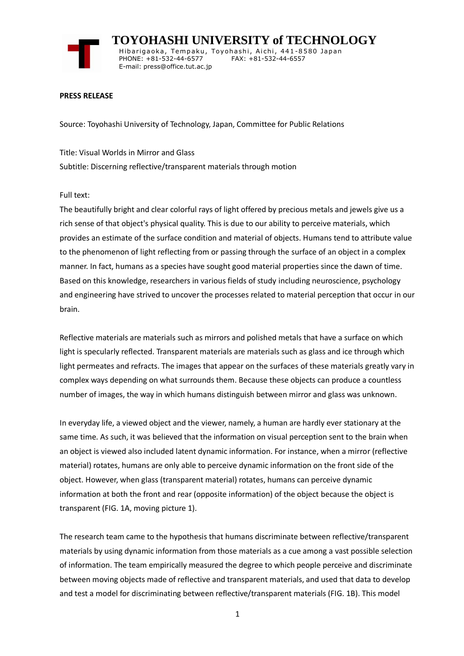

 **TOYOHASHI UNIVERSITY of TECHNOLOGY** Hibarigaoka, Tempaku, Toyohashi, Aichi, 441-8580 Japan PHONE: +81-532-44-6577 FAX: +81-532-44-6557 E-mail: press@office.tut.ac.jp

### **PRESS RELEASE**

Source: Toyohashi University of Technology, Japan, Committee for Public Relations

Title: Visual Worlds in Mirror and Glass Subtitle: Discerning reflective/transparent materials through motion

### Full text:

The beautifully bright and clear colorful rays of light offered by precious metals and jewels give us a rich sense of that object's physical quality. This is due to our ability to perceive materials, which provides an estimate of the surface condition and material of objects. Humans tend to attribute value to the phenomenon of light reflecting from or passing through the surface of an object in a complex manner. In fact, humans as a species have sought good material properties since the dawn of time. Based on this knowledge, researchers in various fields of study including neuroscience, psychology and engineering have strived to uncover the processes related to material perception that occur in our brain.

Reflective materials are materials such as mirrors and polished metals that have a surface on which light is specularly reflected. Transparent materials are materials such as glass and ice through which light permeates and refracts. The images that appear on the surfaces of these materials greatly vary in complex ways depending on what surrounds them. Because these objects can produce a countless number of images, the way in which humans distinguish between mirror and glass was unknown.

In everyday life, a viewed object and the viewer, namely, a human are hardly ever stationary at the same time. As such, it was believed that the information on visual perception sent to the brain when an object is viewed also included latent dynamic information. For instance, when a mirror (reflective material) rotates, humans are only able to perceive dynamic information on the front side of the object. However, when glass (transparent material) rotates, humans can perceive dynamic information at both the front and rear (opposite information) of the object because the object is transparent (FIG. 1A, moving picture 1).

The research team came to the hypothesis that humans discriminate between reflective/transparent materials by using dynamic information from those materials as a cue among a vast possible selection of information. The team empirically measured the degree to which people perceive and discriminate between moving objects made of reflective and transparent materials, and used that data to develop and test a model for discriminating between reflective/transparent materials (FIG. 1B). This model

1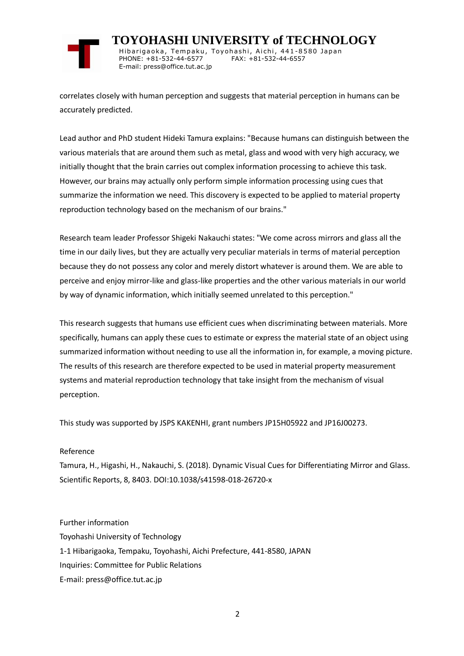

 **TOYOHASHI UNIVERSITY of TECHNOLOGY** Hibarigaoka, Tempaku, Toyohashi, Aichi, 441-8580 Japan PHONE: +81-532-44-6577 FAX: +81-532-44-6557 E-mail: press@office.tut.ac.jp

correlates closely with human perception and suggests that material perception in humans can be accurately predicted.

Lead author and PhD student Hideki Tamura explains: "Because humans can distinguish between the various materials that are around them such as metal, glass and wood with very high accuracy, we initially thought that the brain carries out complex information processing to achieve this task. However, our brains may actually only perform simple information processing using cues that summarize the information we need. This discovery is expected to be applied to material property reproduction technology based on the mechanism of our brains."

Research team leader Professor Shigeki Nakauchi states: "We come across mirrors and glass all the time in our daily lives, but they are actually very peculiar materials in terms of material perception because they do not possess any color and merely distort whatever is around them. We are able to perceive and enjoy mirror-like and glass-like properties and the other various materials in our world by way of dynamic information, which initially seemed unrelated to this perception."

This research suggests that humans use efficient cues when discriminating between materials. More specifically, humans can apply these cues to estimate or express the material state of an object using summarized information without needing to use all the information in, for example, a moving picture. The results of this research are therefore expected to be used in material property measurement systems and material reproduction technology that take insight from the mechanism of visual perception.

This study was supported by JSPS KAKENHI, grant numbers JP15H05922 and JP16J00273.

# Reference

Tamura, H., Higashi, H., Nakauchi, S. (2018). Dynamic Visual Cues for Differentiating Mirror and Glass. Scientific Reports, 8, 8403. DOI:10.1038/s41598-018-26720-x

Further information Toyohashi University of Technology 1-1 Hibarigaoka, Tempaku, Toyohashi, Aichi Prefecture, 441-8580, JAPAN Inquiries: Committee for Public Relations E-mail: press@office.tut.ac.jp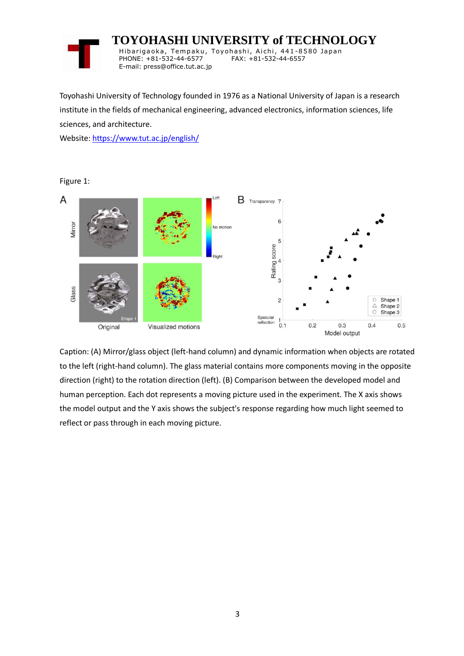

 **TOYOHASHI UNIVERSITY of TECHNOLOGY** Hibarigaoka, Tempaku, Toyohashi, Aichi, 441-8580 Japan PHONE: +81-532-44-6577 FAX: +81-532-44-6557 E-mail: press@office.tut.ac.jp

Toyohashi University of Technology founded in 1976 as a National University of Japan is a research institute in the fields of mechanical engineering, advanced electronics, information sciences, life sciences, and architecture.

Website[: https://www.tut.ac.jp/english/](https://www.tut.ac.jp/english/)



Caption: (A) Mirror/glass object (left-hand column) and dynamic information when objects are rotated to the left (right-hand column). The glass material contains more components moving in the opposite direction (right) to the rotation direction (left). (B) Comparison between the developed model and human perception. Each dot represents a moving picture used in the experiment. The X axis shows the model output and the Y axis shows the subject's response regarding how much light seemed to reflect or pass through in each moving picture.

Figure 1: